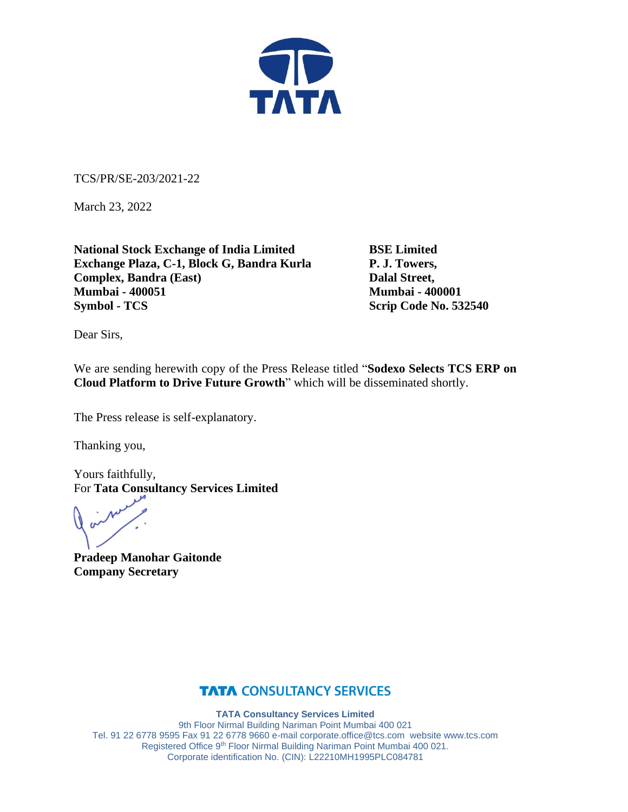

TCS/PR/SE-203/2021-22

March 23, 2022

**National Stock Exchange of India Limited BSE Limited Exchange Plaza, C-1, Block G, Bandra Kurla P. J. Towers, Complex, Bandra (East)** Dalal Street, **Mumbai - 400051 Mumbai - 400001 Symbol - TCS** Scrip Code No. 532540

Dear Sirs,

We are sending herewith copy of the Press Release titled "**Sodexo Selects TCS ERP on Cloud Platform to Drive Future Growth**" which will be disseminated shortly.

The Press release is self-explanatory.

Thanking you,

Yours faithfully, For **Tata Consultancy Services Limited**

**Pradeep Manohar Gaitonde Company Secretary**

## **TATA CONSULTANCY SERVICES**

**TATA Consultancy Services Limited**

9th Floor Nirmal Building Nariman Point Mumbai 400 021 Tel. 91 22 6778 9595 Fax 91 22 6778 9660 e-mai[l corporate.office@tcs.com](mailto:corporate.office@tcs.com) website www.tcs.com Registered Office 9th Floor Nirmal Building Nariman Point Mumbai 400 021. Corporate identification No. (CIN): L22210MH1995PLC084781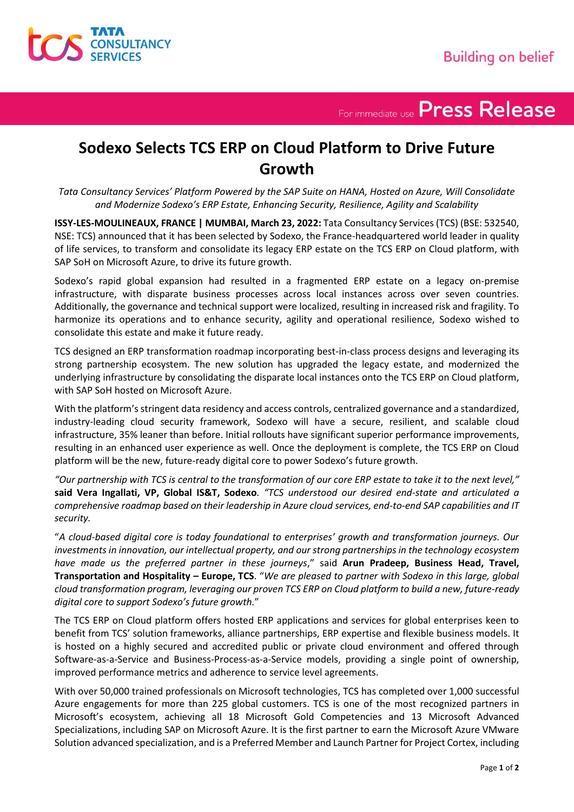For immediate use Press Release

# **Sodexo Selects TCS ERP on Cloud Platform to Drive Future Growth**

*Tata Consultancy Services' Platform Powered by the SAP Suite on HANA, Hosted on Azure, Will Consolidate and Modernize Sodexo's ERP Estate, Enhancing Security, Resilience, Agility and Scalability*

**ISSY-LES-MOULINEAUX, FRANCE | MUMBAI, March 23, 2022:** Tata Consultancy Services (TCS) (BSE: 532540, NSE: TCS) announced that it has been selected by Sodexo, the France-headquartered world leader in quality of life services, to transform and consolidate its legacy ERP estate on the TCS ERP on Cloud platform, with SAP SoH on Microsoft Azure, to drive its future growth.

Sodexo's rapid global expansion had resulted in a fragmented ERP estate on a legacy on-premise infrastructure, with disparate business processes across local instances across over seven countries. Additionally, the governance and technical support were localized, resulting in increased risk and fragility. To harmonize its operations and to enhance security, agility and operational resilience, Sodexo wished to consolidate this estate and make it future ready.

TCS designed an ERP transformation roadmap incorporating best-in-class process designs and leveraging its strong partnership ecosystem. The new solution has upgraded the legacy estate, and modernized the underlying infrastructure by consolidating the disparate local instances onto the TCS ERP on Cloud platform, with SAP SoH hosted on Microsoft Azure.

With the platform's stringent data residency and access controls, centralized governance and a standardized, industry-leading cloud security framework, Sodexo will have a secure, resilient, and scalable cloud infrastructure, 35% leaner than before. Initial rollouts have significant superior performance improvements, resulting in an enhanced user experience as well. Once the deployment is complete, the TCS ERP on Cloud platform will be the new, future-ready digital core to power Sodexo's future growth.

*"Our partnership with TCS is central to the transformation of our core ERP estate to take it to the next level,"* **said Vera Ingallati, VP, Global IS&T, Sodexo**. *"TCS understood our desired end-state and articulated a comprehensive roadmap based on their leadership in Azure cloud services, end-to-end SAP capabilities and IT security.*

"*A cloud-based digital core is today foundational to enterprises' growth and transformation journeys. Our investments in innovation, our intellectual property, and our strong partnerships in the technology ecosystem have made us the preferred partner in these journeys*," said **Arun Pradeep, Business Head, Travel, Transportation and Hospitality – Europe, TCS**. "*We are pleased to partner with Sodexo in this large, global cloud transformation program, leveraging our proven TCS ERP on Cloud platform to build a new, future-ready digital core to support Sodexo's future growth.*"

The TCS ERP on Cloud platform offers hosted ERP applications and services for global enterprises keen to benefit from TCS' solution frameworks, alliance partnerships, ERP expertise and flexible business models. It is hosted on a highly secured and accredited public or private cloud environment and offered through Software-as-a-Service and Business-Process-as-a-Service models, providing a single point of ownership, improved performance metrics and adherence to service level agreements.

With over 50,000 trained professionals on Microsoft technologies, TCS has completed over 1,000 successful Azure engagements for more than 225 global customers. TCS is one of the most recognized partners in Microsoft's ecosystem, achieving all 18 Microsoft Gold Competencies and 13 Microsoft Advanced Specializations, including SAP on Microsoft Azure. It is the first partner to earn the Microsoft Azure VMware Solution advanced specialization, and is a Preferred Member and Launch Partner for Project Cortex, including